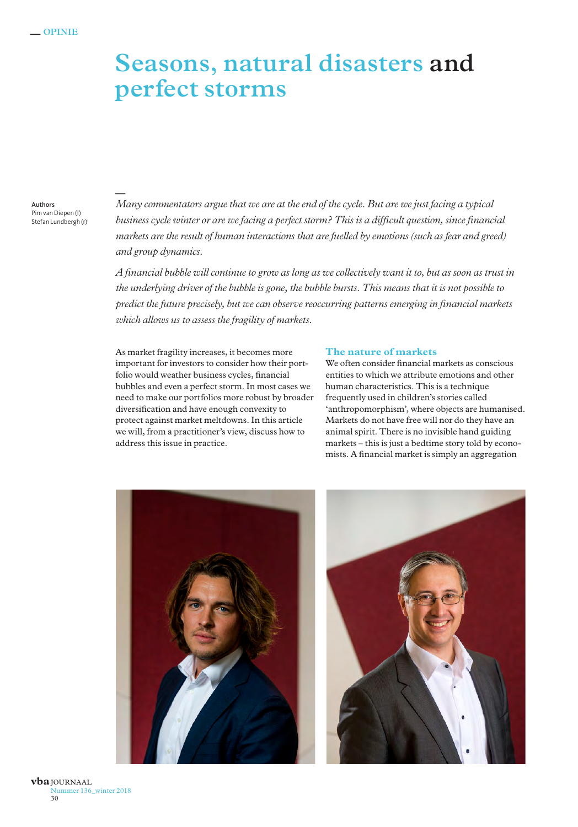# **Seasons, natural disasters and perfect storms**

Authors Pim van Diepen (l) Stefan Lundbergh (r) *Many commentators argue that we are at the end of the cycle. But are we just facing a typical business cycle winter or are we facing a perfect storm? This is a difficult question, since financial markets are the result of human interactions that are fuelled by emotions (such as fear and greed) and group dynamics.* **—**

*A financial bubble will continue to grow as long as we collectively want it to, but as soon as trust in the underlying driver of the bubble is gone, the bubble bursts. This means that it is not possible to predict the future precisely, but we can observe reoccurring patterns emerging in financial markets which allows us to assess the fragility of markets.*

As market fragility increases, it becomes more important for investors to consider how their portfolio would weather business cycles, financial bubbles and even a perfect storm. In most cases we need to make our portfolios more robust by broader diversification and have enough convexity to protect against market meltdowns. In this article we will, from a practitioner's view, discuss how to address this issue in practice.

#### **The nature of markets**

We often consider financial markets as conscious entities to which we attribute emotions and other human characteristics. This is a technique frequently used in children's stories called 'anthropomorphism', where objects are humanised. Markets do not have free will nor do they have an animal spirit. There is no invisible hand guiding markets – this is just a bedtime story told by economists. A financial market is simply an aggregation



Nummer 136\_winter 2018 30 **vba**JOURNAAL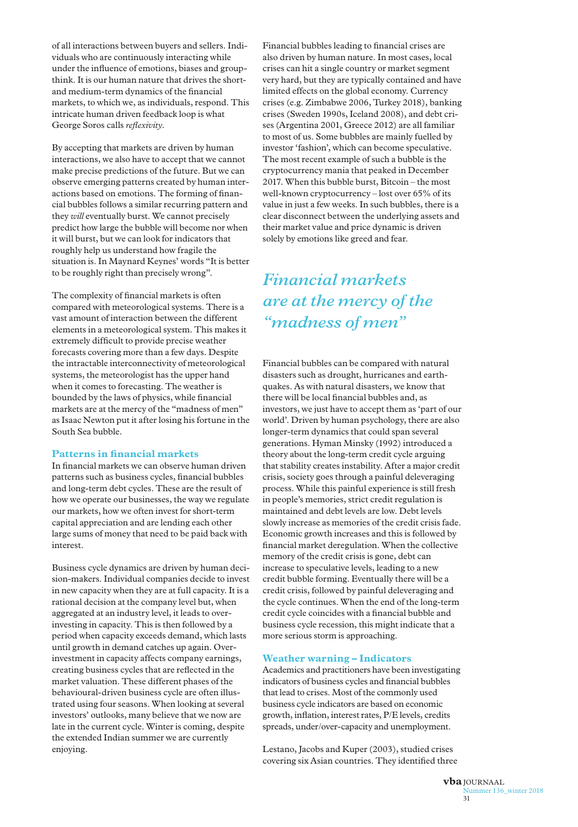of all interactions between buyers and sellers. Individuals who are continuously interacting while under the influence of emotions, biases and groupthink. It is our human nature that drives the shortand medium-term dynamics of the financial markets, to which we, as individuals, respond. This intricate human driven feedback loop is what George Soros calls *reflexivity*.

By accepting that markets are driven by human interactions, we also have to accept that we cannot make precise predictions of the future. But we can observe emerging patterns created by human interactions based on emotions. The forming of financial bubbles follows a similar recurring pattern and they *will* eventually burst. We cannot precisely predict how large the bubble will become nor when it will burst, but we can look for indicators that roughly help us understand how fragile the situation is. In Maynard Keynes' words "It is better to be roughly right than precisely wrong".

The complexity of financial markets is often compared with meteorological systems. There is a vast amount of interaction between the different elements in a meteorological system. This makes it extremely difficult to provide precise weather forecasts covering more than a few days. Despite the intractable interconnectivity of meteorological systems, the meteorologist has the upper hand when it comes to forecasting. The weather is bounded by the laws of physics, while financial markets are at the mercy of the "madness of men" as Isaac Newton put it after losing his fortune in the South Sea bubble.

#### **Patterns in financial markets**

In financial markets we can observe human driven patterns such as business cycles, financial bubbles and long-term debt cycles. These are the result of how we operate our businesses, the way we regulate our markets, how we often invest for short-term capital appreciation and are lending each other large sums of money that need to be paid back with interest.

Business cycle dynamics are driven by human decision-makers. Individual companies decide to invest in new capacity when they are at full capacity. It is a rational decision at the company level but, when aggregated at an industry level, it leads to overinvesting in capacity. This is then followed by a period when capacity exceeds demand, which lasts until growth in demand catches up again. Overinvestment in capacity affects company earnings, creating business cycles that are reflected in the market valuation. These different phases of the behavioural-driven business cycle are often illustrated using four seasons. When looking at several investors' outlooks, many believe that we now are late in the current cycle. Winter is coming, despite the extended Indian summer we are currently enjoying.

Financial bubbles leading to financial crises are also driven by human nature. In most cases, local crises can hit a single country or market segment very hard, but they are typically contained and have limited effects on the global economy. Currency crises (e.g. Zimbabwe 2006, Turkey 2018), banking crises (Sweden 1990s, Iceland 2008), and debt crises (Argentina 2001, Greece 2012) are all familiar to most of us. Some bubbles are mainly fuelled by investor 'fashion', which can become speculative. The most recent example of such a bubble is the cryptocurrency mania that peaked in December 2017. When this bubble burst, Bitcoin – the most well-known cryptocurrency – lost over 65% of its value in just a few weeks. In such bubbles, there is a clear disconnect between the underlying assets and their market value and price dynamic is driven solely by emotions like greed and fear.

## *Financial markets are at the mercy of the "madness of men"*

Financial bubbles can be compared with natural disasters such as drought, hurricanes and earthquakes. As with natural disasters, we know that there will be local financial bubbles and, as investors, we just have to accept them as 'part of our world'. Driven by human psychology, there are also longer-term dynamics that could span several generations. Hyman Minsky (1992) introduced a theory about the long-term credit cycle arguing that stability creates instability. After a major credit crisis, society goes through a painful deleveraging process. While this painful experience is still fresh in people's memories, strict credit regulation is maintained and debt levels are low. Debt levels slowly increase as memories of the credit crisis fade. Economic growth increases and this is followed by financial market deregulation. When the collective memory of the credit crisis is gone, debt can increase to speculative levels, leading to a new credit bubble forming. Eventually there will be a credit crisis, followed by painful deleveraging and the cycle continues. When the end of the long-term credit cycle coincides with a financial bubble and business cycle recession, this might indicate that a more serious storm is approaching.

#### **Weather warning – Indicators**

Academics and practitioners have been investigating indicators of business cycles and financial bubbles that lead to crises. Most of the commonly used business cycle indicators are based on economic growth, inflation, interest rates, P/E levels, credits spreads, under/over-capacity and unemployment.

Lestano, Jacobs and Kuper (2003), studied crises covering six Asian countries. They identified three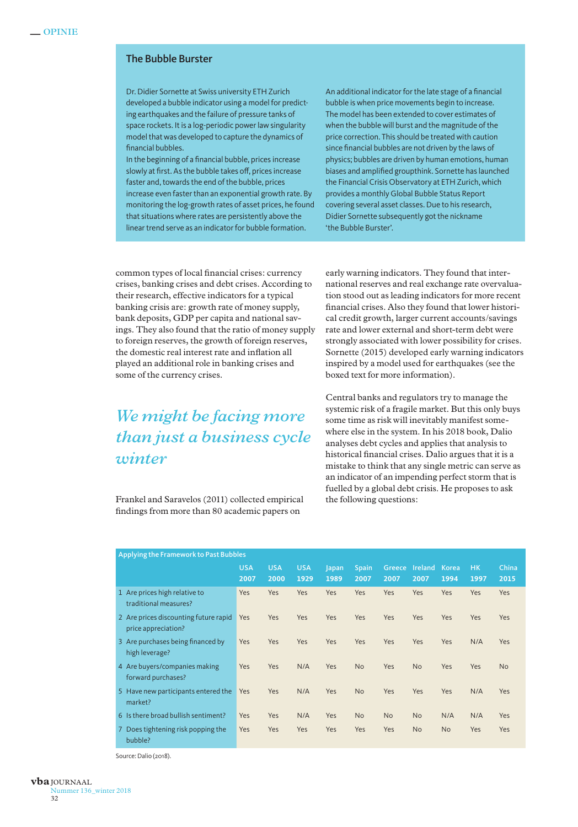### The Bubble Burster

Dr. Didier Sornette at Swiss university ETH Zurich developed a bubble indicator using a model for predicting earthquakes and the failure of pressure tanks of space rockets. It is a log-periodic power law singularity model that was developed to capture the dynamics of financial bubbles.

In the beginning of a financial bubble, prices increase slowly at first. As the bubble takes off, prices increase faster and, towards the end of the bubble, prices increase even faster than an exponential growth rate. By monitoring the log-growth rates of asset prices, he found that situations where rates are persistently above the linear trend serve as an indicator for bubble formation.

An additional indicator for the late stage of a financial bubble is when price movements begin to increase. The model has been extended to cover estimates of when the bubble will burst and the magnitude of the price correction. This should be treated with caution since financial bubbles are not driven by the laws of physics; bubbles are driven by human emotions, human biases and amplified groupthink. Sornette has launched the Financial Crisis Observatory at ETH Zurich, which provides a monthly Global Bubble Status Report covering several asset classes. Due to his research, Didier Sornette subsequently got the nickname 'the Bubble Burster'.

common types of local financial crises: currency crises, banking crises and debt crises. According to their research, effective indicators for a typical banking crisis are: growth rate of money supply, bank deposits, GDP per capita and national savings. They also found that the ratio of money supply to foreign reserves, the growth of foreign reserves, the domestic real interest rate and inflation all played an additional role in banking crises and some of the currency crises.

# *We might be facing more than just a business cycle winter*

Frankel and Saravelos (2011) collected empirical findings from more than 80 academic papers on

early warning indicators. They found that international reserves and real exchange rate overvaluation stood out as leading indicators for more recent financial crises. Also they found that lower historical credit growth, larger current accounts/savings rate and lower external and short-term debt were strongly associated with lower possibility for crises. Sornette (2015) developed early warning indicators inspired by a model used for earthquakes (see the boxed text for more information).

Central banks and regulators try to manage the systemic risk of a fragile market. But this only buys some time as risk will inevitably manifest somewhere else in the system. In his 2018 book, Dalio analyses debt cycles and applies that analysis to historical financial crises. Dalio argues that it is a mistake to think that any single metric can serve as an indicator of an impending perfect storm that is fuelled by a global debt crisis. He proposes to ask the following questions:

| Applying the Framework to Past Bubbles                       |                    |                    |                    |               |                      |                |                 |               |                   |               |
|--------------------------------------------------------------|--------------------|--------------------|--------------------|---------------|----------------------|----------------|-----------------|---------------|-------------------|---------------|
|                                                              | <b>USA</b><br>2007 | <b>USA</b><br>2000 | <b>USA</b><br>1929 | Japan<br>1989 | <b>Spain</b><br>2007 | Greece<br>2007 | Ireland<br>2007 | Korea<br>1994 | <b>HK</b><br>1997 | China<br>2015 |
| 1 Are prices high relative to<br>traditional measures?       | <b>Yes</b>         | Yes                | Yes                | Yes           | Yes                  | Yes            | Yes             | Yes           | Yes               | Yes           |
| 2 Are prices discounting future rapid<br>price appreciation? | <b>Yes</b>         | Yes                | Yes                | Yes           | Yes                  | Yes            | Yes             | Yes           | Yes               | Yes           |
| 3 Are purchases being financed by<br>high leverage?          | <b>Yes</b>         | Yes                | Yes                | Yes           | Yes                  | Yes            | Yes             | Yes           | N/A               | Yes           |
| 4 Are buyers/companies making<br>forward purchases?          | <b>Yes</b>         | Yes                | N/A                | Yes           | <b>No</b>            | Yes            | <b>No</b>       | Yes           | Yes               | <b>No</b>     |
| 5 Have new participants entered the<br>market?               | <b>Yes</b>         | Yes                | N/A                | Yes           | <b>No</b>            | Yes            | Yes             | Yes           | N/A               | Yes           |
| 6 Is there broad bullish sentiment?                          | Yes                | Yes                | N/A                | Yes           | <b>No</b>            | <b>No</b>      | <b>No</b>       | N/A           | N/A               | Yes           |
| Does tightening risk popping the<br>7<br>bubble?             | <b>Yes</b>         | Yes                | Yes                | Yes           | Yes                  | Yes            | <b>No</b>       | <b>No</b>     | Yes               | Yes           |

Source: Dalio (2018).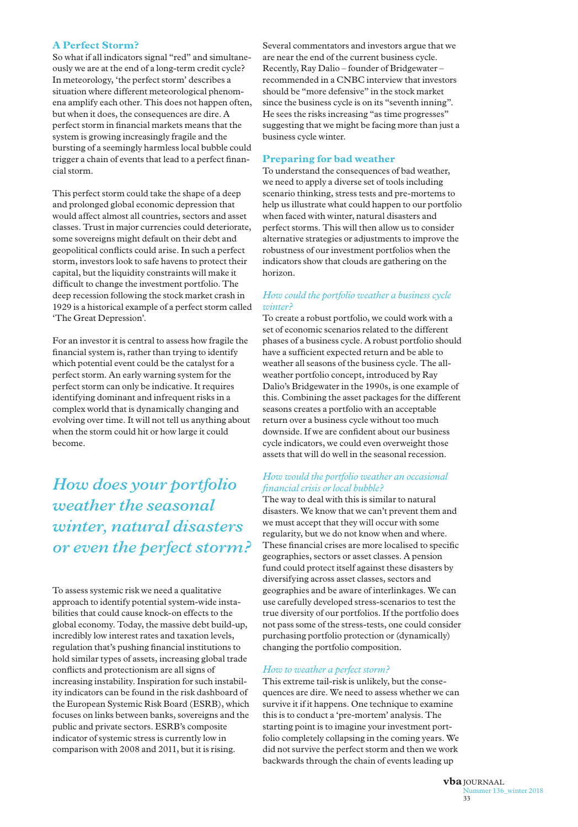### **A Perfect Storm?**

So what if all indicators signal "red" and simultaneously we are at the end of a long-term credit cycle? In meteorology, 'the perfect storm' describes a situation where different meteorological phenomena amplify each other. This does not happen often, but when it does, the consequences are dire. A perfect storm in financial markets means that the system is growing increasingly fragile and the bursting of a seemingly harmless local bubble could trigger a chain of events that lead to a perfect financial storm.

This perfect storm could take the shape of a deep and prolonged global economic depression that would affect almost all countries, sectors and asset classes. Trust in major currencies could deteriorate, some sovereigns might default on their debt and geopolitical conflicts could arise. In such a perfect storm, investors look to safe havens to protect their capital, but the liquidity constraints will make it difficult to change the investment portfolio. The deep recession following the stock market crash in 1929 is a historical example of a perfect storm called 'The Great Depression'.

For an investor it is central to assess how fragile the financial system is, rather than trying to identify which potential event could be the catalyst for a perfect storm. An early warning system for the perfect storm can only be indicative. It requires identifying dominant and infrequent risks in a complex world that is dynamically changing and evolving over time. It will not tell us anything about when the storm could hit or how large it could become.

*How does your portfolio weather the seasonal winter, natural disasters or even the perfect storm?*

To assess systemic risk we need a qualitative approach to identify potential system-wide instabilities that could cause knock-on effects to the global economy. Today, the massive debt build-up, incredibly low interest rates and taxation levels, regulation that's pushing financial institutions to hold similar types of assets, increasing global trade conflicts and protectionism are all signs of increasing instability. Inspiration for such instability indicators can be found in the risk dashboard of the European Systemic Risk Board (ESRB), which focuses on links between banks, sovereigns and the public and private sectors. ESRB's composite indicator of systemic stress is currently low in comparison with 2008 and 2011, but it is rising.

Several commentators and investors argue that we are near the end of the current business cycle. Recently, Ray Dalio – founder of Bridgewater – recommended in a CNBC interview that investors should be "more defensive" in the stock market since the business cycle is on its "seventh inning". He sees the risks increasing "as time progresses" suggesting that we might be facing more than just a business cycle winter.

#### **Preparing for bad weather**

To understand the consequences of bad weather, we need to apply a diverse set of tools including scenario thinking, stress tests and pre-mortems to help us illustrate what could happen to our portfolio when faced with winter, natural disasters and perfect storms. This will then allow us to consider alternative strategies or adjustments to improve the robustness of our investment portfolios when the indicators show that clouds are gathering on the horizon.

#### *How could the portfolio weather a business cycle winter?*

To create a robust portfolio, we could work with a set of economic scenarios related to the different phases of a business cycle. A robust portfolio should have a sufficient expected return and be able to weather all seasons of the business cycle. The allweather portfolio concept, introduced by Ray Dalio's Bridgewater in the 1990s, is one example of this. Combining the asset packages for the different seasons creates a portfolio with an acceptable return over a business cycle without too much downside. If we are confident about our business cycle indicators, we could even overweight those assets that will do well in the seasonal recession.

### *How would the portfolio weather an occasional financial crisis or local bubble?*

The way to deal with this is similar to natural disasters. We know that we can't prevent them and we must accept that they will occur with some regularity, but we do not know when and where. These financial crises are more localised to specific geographies, sectors or asset classes. A pension fund could protect itself against these disasters by diversifying across asset classes, sectors and geographies and be aware of interlinkages. We can use carefully developed stress-scenarios to test the true diversity of our portfolios. If the portfolio does not pass some of the stress-tests, one could consider purchasing portfolio protection or (dynamically) changing the portfolio composition.

#### *How to weather a perfect storm?*

This extreme tail-risk is unlikely, but the consequences are dire. We need to assess whether we can survive it if it happens. One technique to examine this is to conduct a 'pre-mortem' analysis. The starting point is to imagine your investment portfolio completely collapsing in the coming years. We did not survive the perfect storm and then we work backwards through the chain of events leading up